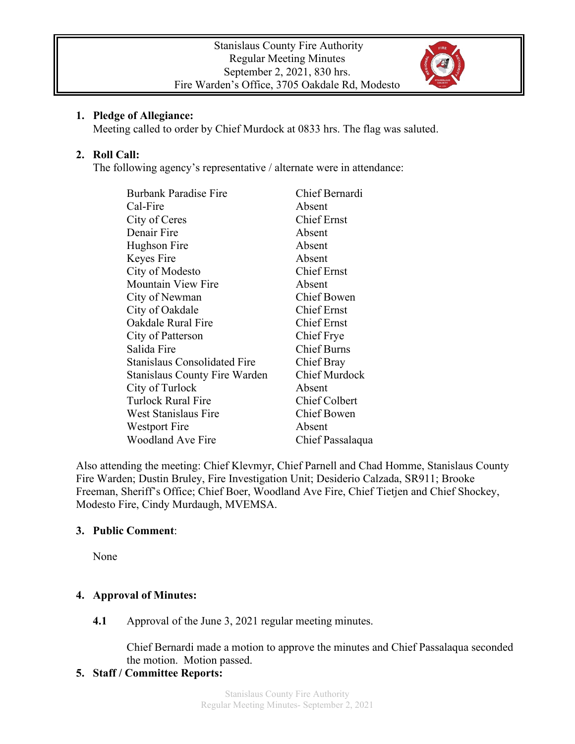

### **1. Pledge of Allegiance:**

Meeting called to order by Chief Murdock at 0833 hrs. The flag was saluted.

# **2. Roll Call:**

The following agency's representative / alternate were in attendance:

| <b>Burbank Paradise Fire</b>         | Chief Bernardi       |
|--------------------------------------|----------------------|
| Cal-Fire                             | Absent               |
| City of Ceres                        | <b>Chief Ernst</b>   |
| Denair Fire                          | Absent               |
| Hughson Fire                         | Absent               |
| Keyes Fire                           | Absent               |
| City of Modesto                      | <b>Chief Ernst</b>   |
| Mountain View Fire                   | Absent               |
| City of Newman                       | Chief Bowen          |
| City of Oakdale                      | <b>Chief Ernst</b>   |
| Oakdale Rural Fire                   | <b>Chief Ernst</b>   |
| City of Patterson                    | Chief Frye           |
| Salida Fire                          | <b>Chief Burns</b>   |
| <b>Stanislaus Consolidated Fire</b>  | Chief Bray           |
| <b>Stanislaus County Fire Warden</b> | <b>Chief Murdock</b> |
| City of Turlock                      | Absent               |
| <b>Turlock Rural Fire</b>            | Chief Colbert        |
| West Stanislaus Fire                 | <b>Chief Bowen</b>   |
| Westport Fire                        | Absent               |
| <b>Woodland Ave Fire</b>             | Chief Passalaqua     |

Also attending the meeting: Chief Klevmyr, Chief Parnell and Chad Homme, Stanislaus County Fire Warden; Dustin Bruley, Fire Investigation Unit; Desiderio Calzada, SR911; Brooke Freeman, Sheriff's Office; Chief Boer, Woodland Ave Fire, Chief Tietjen and Chief Shockey, Modesto Fire, Cindy Murdaugh, MVEMSA.

# **3. Public Comment**:

None

# **4. Approval of Minutes:**

**4.1** Approval of the June 3, 2021 regular meeting minutes.

Chief Bernardi made a motion to approve the minutes and Chief Passalaqua seconded the motion. Motion passed.

# **5. Staff / Committee Reports:**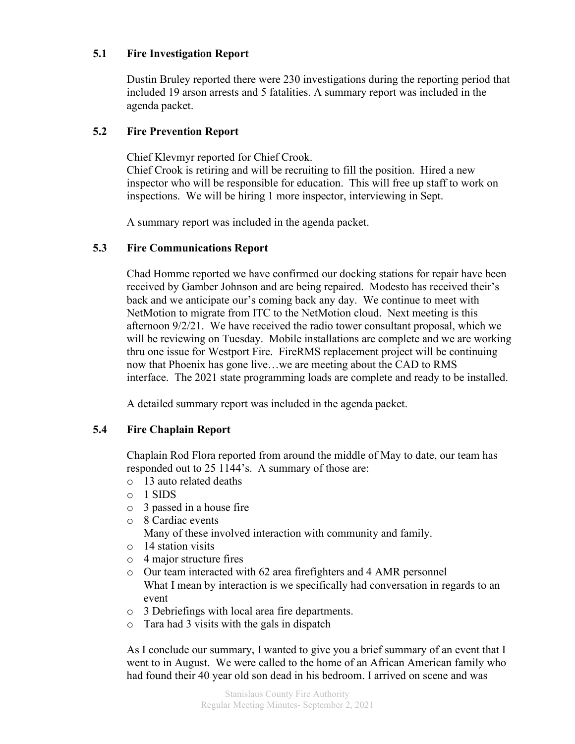### **5.1 Fire Investigation Report**

Dustin Bruley reported there were 230 investigations during the reporting period that included 19 arson arrests and 5 fatalities. A summary report was included in the agenda packet.

#### **5.2 Fire Prevention Report**

Chief Klevmyr reported for Chief Crook.

Chief Crook is retiring and will be recruiting to fill the position. Hired a new inspector who will be responsible for education. This will free up staff to work on inspections. We will be hiring 1 more inspector, interviewing in Sept.

A summary report was included in the agenda packet.

### **5.3 Fire Communications Report**

Chad Homme reported we have confirmed our docking stations for repair have been received by Gamber Johnson and are being repaired. Modesto has received their's back and we anticipate our's coming back any day. We continue to meet with NetMotion to migrate from ITC to the NetMotion cloud. Next meeting is this afternoon 9/2/21. We have received the radio tower consultant proposal, which we will be reviewing on Tuesday. Mobile installations are complete and we are working thru one issue for Westport Fire. FireRMS replacement project will be continuing now that Phoenix has gone live…we are meeting about the CAD to RMS interface. The 2021 state programming loads are complete and ready to be installed.

A detailed summary report was included in the agenda packet.

# **5.4 Fire Chaplain Report**

Chaplain Rod Flora reported from around the middle of May to date, our team has responded out to 25 1144's. A summary of those are:

- o 13 auto related deaths
- o 1 SIDS
- o 3 passed in a house fire
- o 8 Cardiac events
	- Many of these involved interaction with community and family.
- o 14 station visits
- o 4 major structure fires
- o Our team interacted with 62 area firefighters and 4 AMR personnel What I mean by interaction is we specifically had conversation in regards to an event
- o 3 Debriefings with local area fire departments.
- o Tara had 3 visits with the gals in dispatch

As I conclude our summary, I wanted to give you a brief summary of an event that I went to in August. We were called to the home of an African American family who had found their 40 year old son dead in his bedroom. I arrived on scene and was